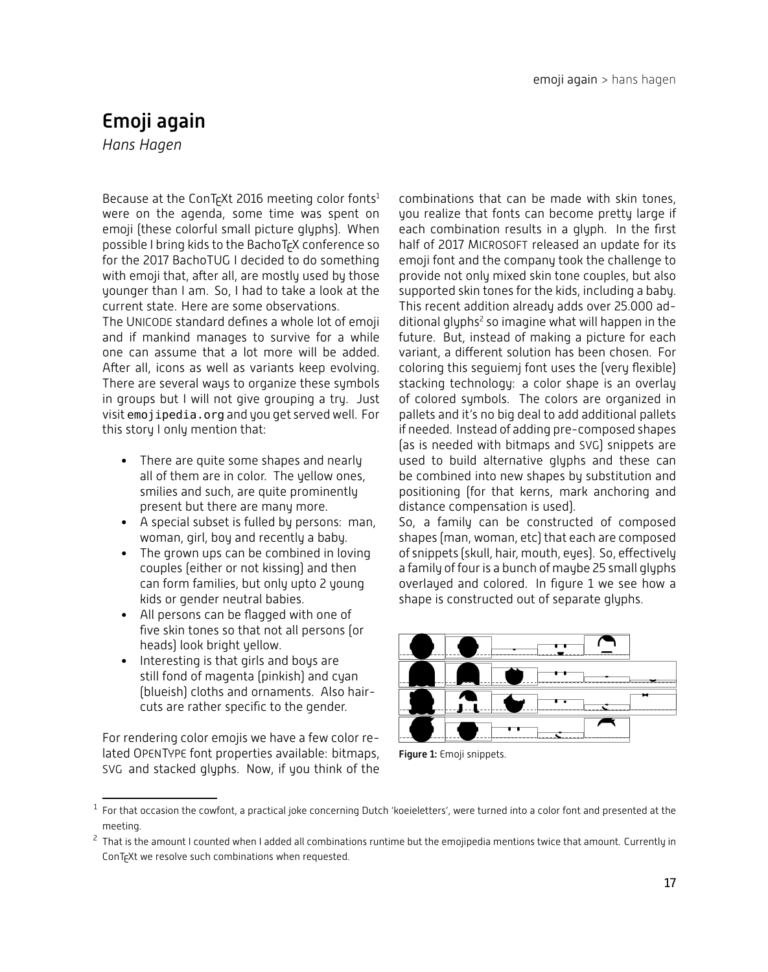# Emoji again

*Hans Hagen*

Because at the ConT<sub>F</sub>Xt 2016 meeting color fonts<sup>1</sup> were on the agenda, some time was spent on emoji (these colorful small picture glyphs). When possible I bring kids to the BachoT<sub>F</sub>X conference so for the 2017 BachoTUG I decided to do something with emoji that, after all, are mostly used by those younger than I am. So, I had to take a look at the current state. Here are some observations.

The UNICODE standard defines a whole lot of emoji and if mankind manages to survive for a while one can assume that a lot more will be added. After all, icons as well as variants keep evolving. There are several ways to organize these symbols in groups but I will not give grouping a try. Just visit emojipedia.org and you get served well. For this story I only mention that:

- There are quite some shapes and nearly all of them are in color. The yellow ones, smilies and such, are quite prominently present but there are many more.
- A special subset is fulled by persons: man, woman, girl, boy and recently a baby.
- The grown ups can be combined in loving couples (either or not kissing) and then can form families, but only upto 2 young kids or gender neutral babies.
- All persons can be flagged with one of five skin tones so that not all persons (or heads) look bright yellow.
- Interesting is that girls and boys are still fond of magenta (pinkish) and cyan (blueish) cloths and ornaments. Also haircuts are rather specific to the gender.

For rendering color emojis we have a few color related OPENTYPE font properties available: bitmaps, SVG and stacked glyphs. Now, if you think of the combinations that can be made with skin tones, you realize that fonts can become pretty large if each combination results in a glyph. In the first half of 2017 MICROSOFT released an update for its emoji font and the company took the challenge to provide not only mixed skin tone couples, but also supported skin tones for the kids, including a baby. This recent addition already adds over 25.000 additional glyphs<sup>2</sup> so imagine what will happen in the future. But, instead of making a picture for each variant, a different solution has been chosen. For coloring this seguiemj font uses the (very flexible) stacking technology: a color shape is an overlay of colored symbols. The colors are organized in pallets and it's no big deal to add additional pallets if needed. Instead of adding pre-composed shapes (as is needed with bitmaps and SVG) snippets are used to build alternative glyphs and these can be combined into new shapes by substitution and positioning (for that kerns, mark anchoring and distance compensation is used).

So, a family can be constructed of composed shapes (man, woman, etc) that each are composed of snippets (skull, hair, mouth, eyes). So, effectively a family of four is a bunch of maybe 25 small glyphs overlayed and colored. In figure 1 we see how a shape is constructed out of separate glyphs.



Figure 1: Emoji snippets.

 $^{\rm 1}$  For that occasion the cowfont, a practical joke concerning Dutch 'koeieletters', were turned into a color font and presented at the meeting.

 $^2$  That is the amount I counted when I added all combinations runtime but the emojipedia mentions twice that amount. Currently in ConT<sub>E</sub>Xt we resolve such combinations when requested.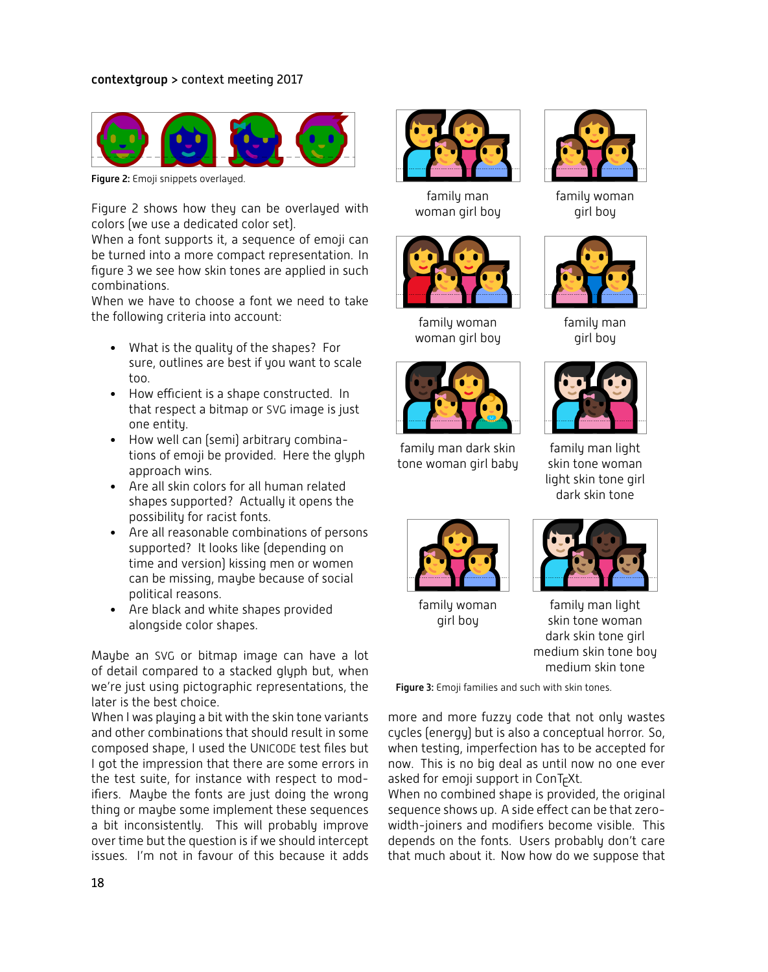

Figure 2: Emoji snippets overlayed.

Figure 2 shows how they can be overlayed with colors (we use a dedicated color set).

When a font supports it, a sequence of emoji can be turned into a more compact representation. In figure 3 we see how skin tones are applied in such combinations.

When we have to choose a font we need to take the following criteria into account:

- What is the quality of the shapes? For sure, outlines are best if you want to scale too.
- How efficient is a shape constructed. In that respect a bitmap or SVG image is just one entity.
- How well can (semi) arbitrary combinations of emoji be provided. Here the glyph approach wins.
- Are all skin colors for all human related shapes supported? Actually it opens the possibility for racist fonts.
- Are all reasonable combinations of persons supported? It looks like (depending on time and version) kissing men or women can be missing, maybe because of social political reasons.
- Are black and white shapes provided alongside color shapes.

Maybe an SVG or bitmap image can have a lot of detail compared to a stacked glyph but, when we're just using pictographic representations, the later is the best choice.

When I was playing a bit with the skin tone variants and other combinations that should result in some composed shape, I used the UNICODE test files but I got the impression that there are some errors in the test suite, for instance with respect to modifiers. Maybe the fonts are just doing the wrong thing or maybe some implement these sequences a bit inconsistently. This will probably improve over time but the question is if we should intercept issues. I'm not in favour of this because it adds



family man woman girl boy



family woman woman girl boy



family man dark skin tone woman girl baby



family woman girl boy



family man girl boy



family man light skin tone woman light skin tone girl dark skin tone



family woman girl boy



family man light skin tone woman dark skin tone girl medium skin tone boy medium skin tone

Figure 3: Emoji families and such with skin tones.

more and more fuzzy code that not only wastes cycles (energy) but is also a conceptual horror. So, when testing, imperfection has to be accepted for now. This is no big deal as until now no one ever asked for emoji support in ConTFXt.

When no combined shape is provided, the original sequence shows up. A side effect can be that zerowidth-joiners and modifiers become visible. This depends on the fonts. Users probably don't care that much about it. Now how do we suppose that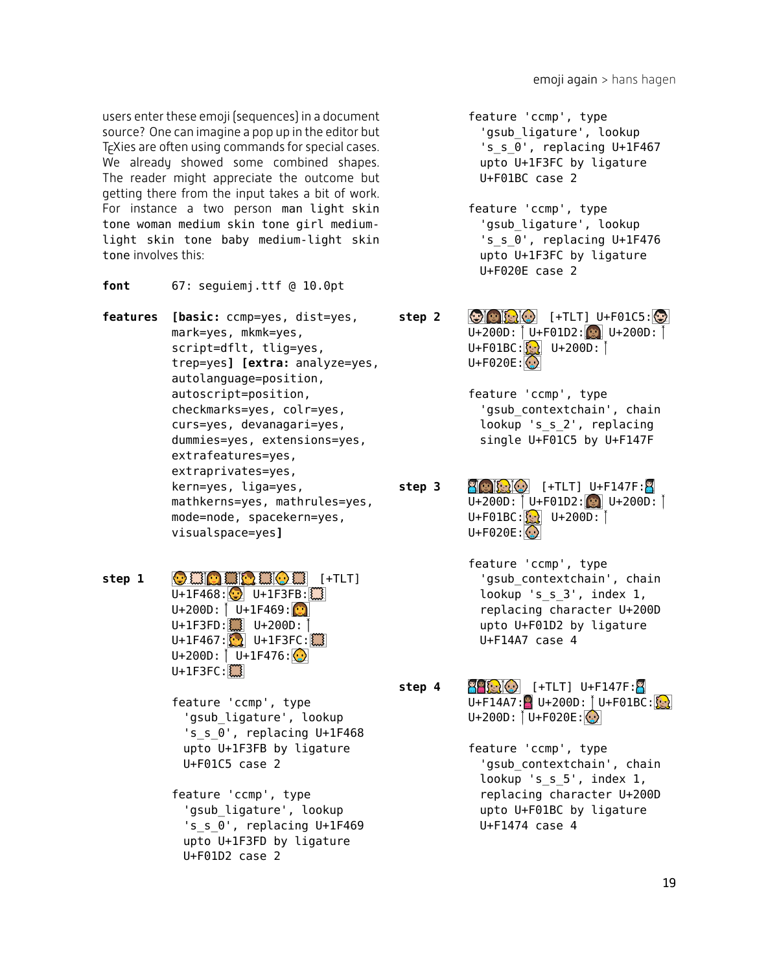users enter these emoji (sequences) in a document source? One can imagine a pop up in the editor but T<sub>E</sub>Xies are often using commands for special cases. We already showed some combined shapes. The reader might appreciate the outcome but getting there from the input takes a bit of work. For instance a two person man light skin tone woman medium skin tone girl mediumlight skin tone baby medium-light skin tone involves this:

- **font** 67: seguiemj.ttf @ 10.0pt
- **features [basic:** ccmp=yes, dist=yes, mark=yes, mkmk=yes, script=dflt, tlig=yes, trep=yes**] [extra:** analyze=yes, autolanguage=position, autoscript=position, checkmarks=yes, colr=yes, curs=yes, devanagari=yes, dummies=yes, extensions=yes, extrafeatures=yes, extraprivates=yes, kern=yes, liga=yes, mathkerns=yes, mathrules=yes, mode=node, spacekern=yes, visualspace=yes**]**
- **step 1 OHOHOHOH** [+TLT]  $U+1F468:$   $U+1F3FB:$  $U+200D: \overline{U}+1F469:$ U+1F3FD: U+200D: [  $U+1F467:$   $\begin{array}{|c|c|c|c|c|}\n\hline\n0+1F3FC: 1 & 0 & 0 & 0\n\end{array}$  $U+200D:$  U+1F476: $\Omega$  $U+1F3FC:$ 
	- feature 'ccmp', type 'gsub\_ligature', lookup 's\_s\_0', replacing U+1F468 upto U+1F3FB by ligature U+F01C5 case 2
	- feature 'ccmp', type 'gsub\_ligature', lookup 's s 0', replacing U+1F469 upto U+1F3FD by ligature U+F01D2 case 2
- feature 'ccmp', type 'gsub ligature', lookup 's s 0', replacing U+1F467 upto U+1F3FC by ligature U+F01BC case 2
- feature 'ccmp', type 'gsub ligature', lookup 's\_s\_0', replacing U+1F476 upto U+1F3FC by ligature U+F020E case 2
- **step 2**  $\bigcirc$   $\bigcirc$   $\bigcirc$   $\bigcirc$   $\bigcirc$   $\bigcirc$   $\bigcirc$   $\bigcirc$   $\bigcirc$   $\bigcirc$   $\bigcirc$   $\bigcirc$   $\bigcirc$   $\bigcirc$   $\bigcirc$   $\bigcirc$   $\bigcirc$   $\bigcirc$   $\bigcirc$   $\bigcirc$   $\bigcirc$   $\bigcirc$   $\bigcirc$   $\bigcirc$   $\bigcirc$   $\bigcirc$   $\bigcirc$   $\bigcirc$   $\bigcirc$   $\bigcirc$   $\bigcirc$   $\bigcirc$   $\bigcirc$   $\bigcirc$   $\bigcirc$   $\$ U+200D:  $[U + F01D2:U + 200D:$  $U + F01BC:$   $\begin{bmatrix} 0 \\ 0 \end{bmatrix}$   $U + 200D:$  |  $U + F020E:$ 
	- feature 'ccmp', type 'gsub contextchain', chain lookup 's\_s\_2', replacing single U+F01C5 by U+F147F
- **step 3** [+TLT] U+F147F:  $U+200D:$  U+F01D2: U+200D: [ U+F01BC: U+200D:  $U + F020E:$ 
	- feature 'ccmp', type 'gsub contextchain', chain lookup 's\_s\_3', index 1, replacing character U+200D upto U+F01D2 by ligature U+F14A7 case 4
- **step 4** [+TLT] U+F147F:  $U + F14A7$ : U+200D: U+F01BC:  $U+200D:$  U+F020E: $\odot$ 
	- feature 'ccmp', type 'gsub\_contextchain', chain lookup 's\_s\_5', index 1, replacing character U+200D upto U+F01BC by ligature U+F1474 case 4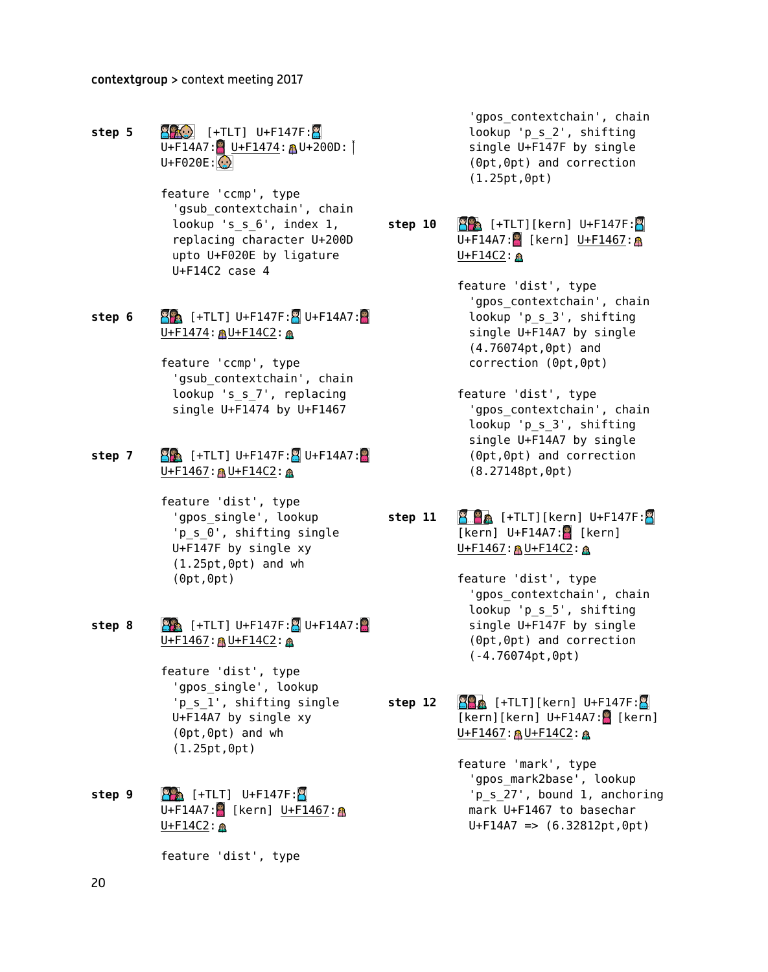- **step 5 1.12 Second Step 5 1.42 Second Step 5 1.42 Second Step 5 1.42 Second Step 5 1.42 Second Step 5 1.42 Second Step 5 1.42 Second Step 5 1.42 Second Step 5 1.42 Second Step 5 1.42 Second Step 5 1.**  $U + F14A7:$  U+F1474: AU+200D: |  $U + F020E:$ 
	- feature 'ccmp', type 'gsub contextchain', chain lookup 's s 6', index 1, replacing character U+200D upto U+F020E by ligature U+F14C2 case 4
- **step 6**  $\frac{1}{2}$  [+TLT] U+F147F: U+F14A7: U+F1474: AU+F14C2: A
	- feature 'ccmp', type 'gsub contextchain', chain lookup 's s 7', replacing single U+F1474 by U+F1467

## **step 7**  $\frac{1}{2}$   $\frac{1}{2}$   $\frac{1}{2}$   $\frac{1}{2}$   $\frac{1}{2}$   $\frac{1}{2}$   $\frac{1}{2}$   $\frac{1}{2}$   $\frac{1}{2}$   $\frac{1}{2}$   $\frac{1}{2}$   $\frac{1}{2}$   $\frac{1}{2}$   $\frac{1}{2}$   $\frac{1}{2}$   $\frac{1}{2}$   $\frac{1}{2}$   $\frac{1}{2}$   $\frac{1}{2}$   $\frac{1}{2}$   $\frac{1}{2}$   $\$  $U + F1467: M + F14C2: M$

feature 'dist', type 'gpos\_single', lookup 'p\_s\_0', shifting single U+F147F by single xy (1.25pt,0pt) and wh (0pt,0pt)

- **step 8**  $\frac{1}{2}$  [+TLT] U+F147F:  $\frac{1}{2}$  U+F14A7: U+F1467: AU+F14C2: A
	- feature 'dist', type 'gpos\_single', lookup 'p s 1', shifting single U+F14A7 by single xy (0pt,0pt) and wh (1.25pt,0pt)
- **step 9 22** [+TLT] U+F147F:  $U + F14A7:$  [kern]  $U + F1467:$  A  $U + F14C2: \mathbb{R}$

feature 'dist', type

'gpos contextchain', chain lookup 'p\_s\_2', shifting single U+F147F by single (0pt,0pt) and correction (1.25pt,0pt)

- **step 10 <b>89** [+TLT][kern] U+F147F:8  $U + F14A7:$  [kern] U+F1467: A U+F14C2: A
	- feature 'dist', type 'gpos contextchain', chain lookup 'p\_s\_3', shifting single U+F14A7 by single (4.76074pt,0pt) and correction (0pt,0pt)
	- feature 'dist', type 'gpos\_contextchain', chain lookup 'p\_s\_3', shifting single U+F14A7 by single (0pt,0pt) and correction (8.27148pt,0pt)
- **step 11 2.8** [+TLT][kern] U+F147F:  $[kern]$  U+F14A7: $\blacksquare$  [kern]  $U + F1467$ : AU+F14C2: A
	- feature 'dist', type 'gpos\_contextchain', chain lookup 'p\_s\_5', shifting single U+F147F by single (0pt,0pt) and correction (-4.76074pt,0pt)
- **step 12** [+TLT][kern] U+F147F:  $[kern][kern] U+F14A7:$   $[kern]$  $U + F1467: **A**U + F14C2: **A**$ 
	- feature 'mark', type 'gpos\_mark2base', lookup 'p\_s\_27', bound 1, anchoring mark U+F1467 to basechar  $U + F14A7$  =>  $(6.32812pt, 0pt)$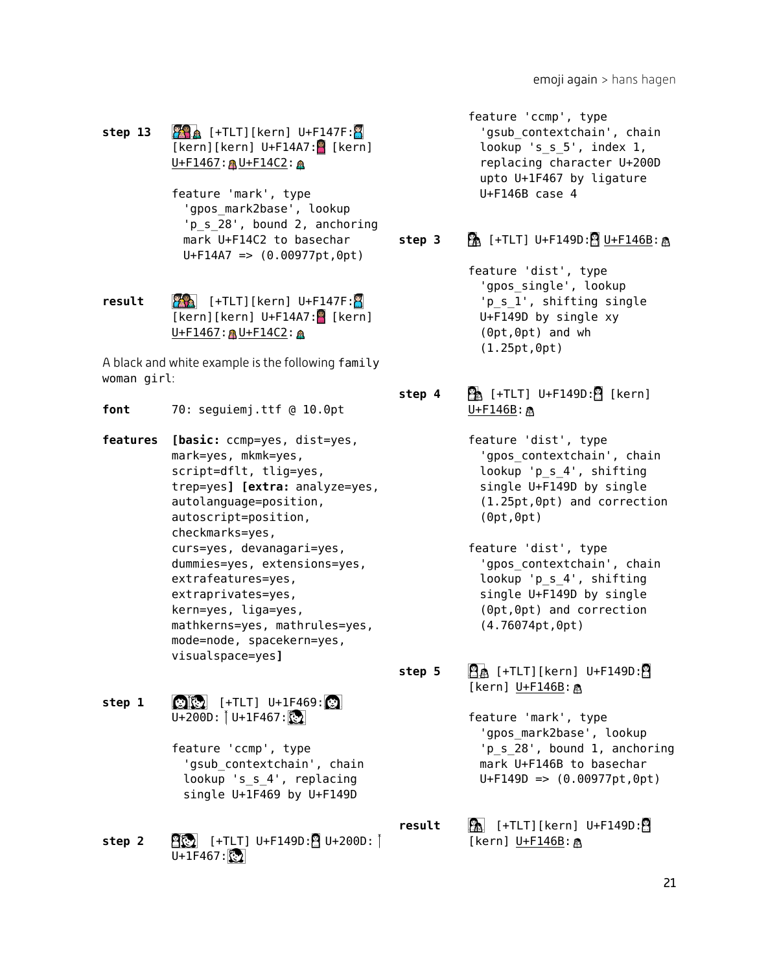## **step 13 [40]** [+TLT][kern] U+F147F:  $[kern][kern] U+F14A7:$   $[kern]$ U+F1467: 8U+F14C2: 8

feature 'mark', type 'gpos\_mark2base', lookup 'p s 28', bound 2, anchoring mark U+F14C2 to basechar  $U + F14A7$  =>  $(0.00977pt.0pt)$ 

**result 1.1. 1.1. 1.1. 1.1. 1.1. 1.1. 1.1. 1.1. 1.1. 1.1. 1.1. 1.1. 1.1. 1.1. 1.1. 1.1. 1.1. 1.1. 1.1. 1.1. 1.1. 1.1. 1.1. 1.1. 1.1. 1.1. 1.1. 1.1. 1.1. 1.1. 1.** [kern][kern] U+F14A7: [kern] U+F1467: 8U+F14C2: 8

A black and white example is the following family woman girl:

- **font** 70: seguiemj.ttf @ 10.0pt
- **features [basic:** ccmp=yes, dist=yes, mark=yes, mkmk=yes, script=dflt, tlig=yes, trep=yes**] [extra:** analyze=yes, autolanguage=position, autoscript=position, checkmarks=yes, curs=yes, devanagari=yes, dummies=yes, extensions=yes, extrafeatures=yes, extraprivates=yes, kern=yes, liga=yes, mathkerns=yes, mathrules=yes, mode=node, spacekern=yes, visualspace=yes**]**
- **step 1**  $\bullet$   $\bullet$   $[+TLT]$   $U+1F469$ :  $U+200D:$   $[U+1F467:\b{3}$ 
	- feature 'ccmp', type 'gsub\_contextchain', chain lookup 's\_s\_4', replacing single U+1F469 by U+F149D
- **step 2**  $\frac{95}{2}$  [+TLT] U+F149D: $\frac{9}{2}$  U+200D:  $U+1F467$ :

feature 'ccmp', type 'gsub contextchain', chain lookup 's s 5', index 1, replacing character U+200D upto U+1F467 by ligature U+F146B case 4

## **step 3**  $\mathbb{R}$  [+TLT] U+F149D: $\mathbb{R}$  U+F146B: $\mathbb{R}$

- feature 'dist', type 'gpos\_single', lookup 'p s 1', shifting single U+F149D by single xy (0pt,0pt) and wh (1.25pt,0pt)
- **step 4**  $\mathbb{R}$  [+TLT] U+F149D: $\mathbb{R}$  [kern] U+F146B: A
	- feature 'dist', type 'gpos\_contextchain', chain lookup 'p\_s\_4', shifting single U+F149D by single (1.25pt,0pt) and correction (0pt,0pt)
	- feature 'dist', type 'gpos\_contextchain', chain lookup 'p\_s\_4', shifting single U+F149D by single (0pt,0pt) and correction (4.76074pt,0pt)

**step 5**  $\mathbf{A}$  [+TLT][kern] U+F149D: [kern] U+F146B: @

> feature 'mark', type 'gpos\_mark2base', lookup 'p\_s\_28', bound 1, anchoring mark U+F146B to basechar  $U + F149D \implies (0.00977pt, 0pt)$

**result a** [+TLT][kern] U+F149D: [kern]  $U + F146B$ : A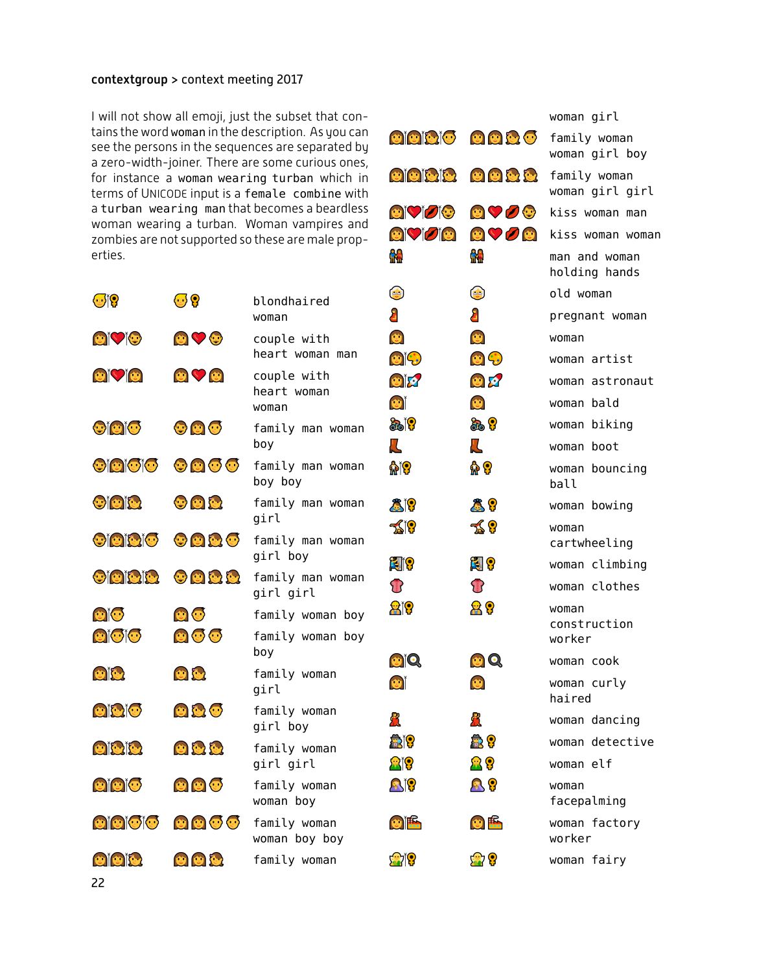I will not show all emoji, just the subset that contains the word woman in the description. As you can see the persons in the sequences are separated by a zero-width-joiner. There are some curious ones, for instance a woman wearing turban which in terms of UNICODE input is a female combine with a turban wearing man that becomes a beardless woman wearing a turban. Woman vampires and zombies are not supported so these are male properties.

| $\mathbf{C}$        | $\bm{\Theta}$ $\bm{\Omega}$ | blondhaired                         | $\mathbf{e}$     |
|---------------------|-----------------------------|-------------------------------------|------------------|
|                     |                             | woman                               | 8                |
| <b>eivie</b>        | $\bullet$                   | couple with<br>heart woman man      | ¢<br>O           |
| $\bullet$ $\circ$   | $\bullet$ $\heartsuit$      | couple with<br>heart woman<br>woman | O<br>$\bullet$   |
| <b>eicio</b>        | $\bullet$ 0 $\bullet$       | family man woman<br>boy             | <b>CAR</b><br>Д  |
| <b>Oidicic</b>      | $\odot$ $\odot$ $\odot$     | family man woman<br>boy boy         | M                |
| <b>eieie</b>        | $\bullet$ 0 0               | family man woman<br>girl            | Ĉ<br>プ           |
| <b>Oiciaio</b>      | $\odot$ a a $\odot$         | family man woman<br>girl boy        | Ŕ.               |
| Oicitle             | $\odot$ of $\odot$ for      | family man woman<br>girl girl       | $\mathbf{U}$     |
| $\odot$             | $\bullet$                   | family woman boy                    | Я                |
| $\textcircled{c}$   | $\bullet$ $\bullet$         | family woman boy<br>boy             | $\ddot{\bullet}$ |
| eit                 | U                           | family woman<br>girl                | ¢                |
| eisio               | $\bullet$ $\bullet$         | family woman<br>girl boy            | R                |
| oith                | $\circ$ 0                   | family woman<br>girl girl           | \$<br>Я          |
| $\bullet$ $\bullet$ | $\bullet$                   | family woman<br>woman boy           | S                |
| <b>eieioio</b>      | $\odot$ $\odot$ $\odot$     | family woman<br>woman boy boy       | $\ddot{\bullet}$ |
| $\bullet$ $\bullet$ | UUC                         | family woman                        | £                |

|                                         |                                                 | woman girl                      |
|-----------------------------------------|-------------------------------------------------|---------------------------------|
|                                         | $\odot$ $\odot$ $\odot$ $\odot$ $\odot$         | family woman<br>woman girl boy  |
|                                         | $\circ$ $\circ$ $\circ$ $\circ$ $\circ$ $\circ$ | family woman<br>woman girl girl |
| $\odot$ $\odot$ $\odot$                 | $\bullet$ $\heartsuit$ $\odot$                  | kiss woman man                  |
| $\textcircled{c}$                       | $\circ$ $\circ$ $\circ$                         | kiss woman woman                |
| M                                       | M                                               | man and woman<br>holding hands  |
| $\begin{pmatrix} 1 \\ -2 \end{pmatrix}$ | $\bigcirc$                                      | old woman                       |
| 8                                       | £                                               | pregnant woman                  |
| Ü                                       | $\bullet$                                       | woman                           |
| $\mathbf{C}^{\dagger}$                  | $\bullet$                                       | woman artist                    |
| eix                                     | U K                                             | woman astronaut                 |
| $\bullet$                               | Ø                                               | woman bald                      |
| க்                                      | க் ?                                            | woman biking                    |
| <u>Д</u>                                | $\mathbf L$                                     | woman boot                      |
| ۵۱                                      | ٍ ۾                                             | woman bouncing<br>ball          |
| 819                                     | $\mathbf{39}$                                   | woman bowing                    |
| ร่≰ั19                                  | ร่∫ิชิ                                          | woman<br>cartwheeling           |
| <b>E</b> 19                             | E ?                                             | woman climbing                  |
| B                                       | T                                               | woman clothes                   |
| 819                                     | 88                                              | woman<br>construction<br>worker |
| $\bullet$ 0.                            | $\mathbf{O}$                                    | woman cook                      |
| G                                       | $\bullet$                                       | woman curly<br>haired           |
|                                         | Л                                               | woman dancing                   |
| r)<br>R                                 | 象?                                              | woman detective                 |
| <b>a</b> to                             | 요?                                              | woman elf                       |
| Qĭ?                                     | $\mathbf{P}$                                    | woman<br>facepalming            |
| $\bullet$ $\mathbb{R}$                  | $\bullet$ $\mathbb{R}$                          | woman factory<br>worker         |
| <b>SEP</b>                              | <mark>a</mark> ?                                | woman fairy                     |

22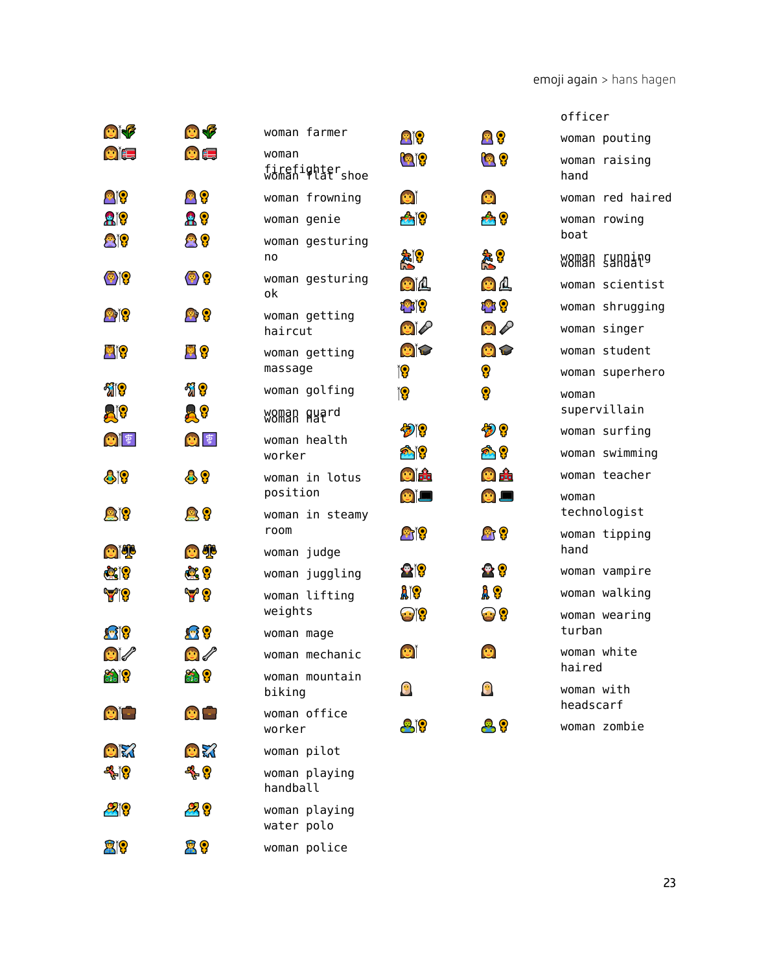|                           |                           |                                         |                                      |                                                | officer                         |
|---------------------------|---------------------------|-----------------------------------------|--------------------------------------|------------------------------------------------|---------------------------------|
| $\bullet$                 | $\bullet$                 | woman farmer                            | <b>Pip</b>                           | $\mathbf{P}$                                   | woman pouting                   |
| $\bullet$ $\bullet$       | $\bullet$ $\blacksquare$  | woman<br>firefighter<br>woman flat shoe | <b>Q</b> i?                          | <b>Q</b> ပြ                                    | woman raising<br>hand           |
| eit                       | 88                        | woman frowning                          | $\bullet$                            | O                                              | woman red haired                |
| <b>Ale</b>                | A ?                       | woman genie                             | <b>219</b>                           | $\mathbf{a}_0$                                 | woman rowing                    |
| Big                       | 公?                        | woman gesturing<br>no                   | 象に                                   | <mark>え?</mark>                                | boat<br>woman cunnipg           |
| o (o                      | $\bullet$ ?               | woman gesturing<br>оk                   | $\mathbf{C}$                         | $\bullet$ $\bullet$                            | woman scientist                 |
| <b>P)í?</b>               | $\bullet$ $\bullet$       | woman getting<br>haircut                | t <mark>e</mark> rio<br>$\mathbf{C}$ | t <mark>e</mark> r <mark>?</mark><br>$\bullet$ | woman shrugging<br>woman singer |
| Eil                       | $\bullet$ $\circ$         | woman getting                           | $\bullet$                            | OP                                             | woman student                   |
|                           |                           | massage                                 | ĭ?                                   | ႙                                              | woman superhero                 |
| <b>Eile</b>               | ႔ ပြ                      | woman golfing                           | ĭ?                                   | ႙                                              | woman                           |
| AI?                       | a ?                       | W8Man Ayard                             |                                      |                                                | supervillain                    |
| 自学                        | 图章                        | woman health                            | $\bullet$                            | 物?                                             | woman surfing                   |
|                           |                           | worker                                  | ☎∭                                   | 合学                                             | woman swimming                  |
| 819                       | 89                        | woman in lotus<br>position              | ei <del>f</del>                      | O ÷                                            | woman teacher                   |
| <b>e</b> jp               | $\mathbf{Q}$              | woman in steamy                         | $\bullet$ $\Box$                     | $\bullet$ $\Box$                               | woman<br>technologist           |
|                           |                           | room                                    | <b>e</b> rí?                         | $\mathbf{P}$ $\mathbf{P}$                      | woman tipping                   |
| $\bullet$ $\bullet$       | $\bullet$                 | woman judge                             |                                      |                                                | hand                            |
| <b>CAP</b>                | & ?                       | woman juggling                          | $\mathbf{P}$                         | $\bullet$ $\bullet$                            | woman vampire                   |
| <b>y</b>                  | Y ?                       | woman lifting                           | <b>Aio</b>                           | A 8                                            | woman walking                   |
|                           |                           | weights                                 | $\mathbf{C}$                         | $\mathbf{e}$                                   | woman wearing                   |
| $\mathbf{F}$              | $\mathbf{R}$ $\mathbf{P}$ | woman mage                              |                                      |                                                | turban                          |
| $\bullet$                 | $\bullet$                 | woman mechanic                          | $\bullet$                            | O                                              | woman white<br>haired           |
| <b>SAIP</b>               | $\frac{1}{2}$             | woman mountain<br>biking                |                                      |                                                | woman with<br>headscarf         |
| $\bullet$ $\Box$          | $\bullet$                 | woman office<br>worker                  | 819                                  | 89                                             | woman zombie                    |
| OR                        | 普新                        | woman pilot                             |                                      |                                                |                                 |
| -&ୁଁ୍ଚ                    | -& ?                      | woman playing<br>handball               |                                      |                                                |                                 |
| $\mathbf{Z}$ $\mathbf{Q}$ | 29                        | woman playing<br>water polo             |                                      |                                                |                                 |
| <b>E</b> i?               | 8 <mark>9</mark>          | woman police                            |                                      |                                                |                                 |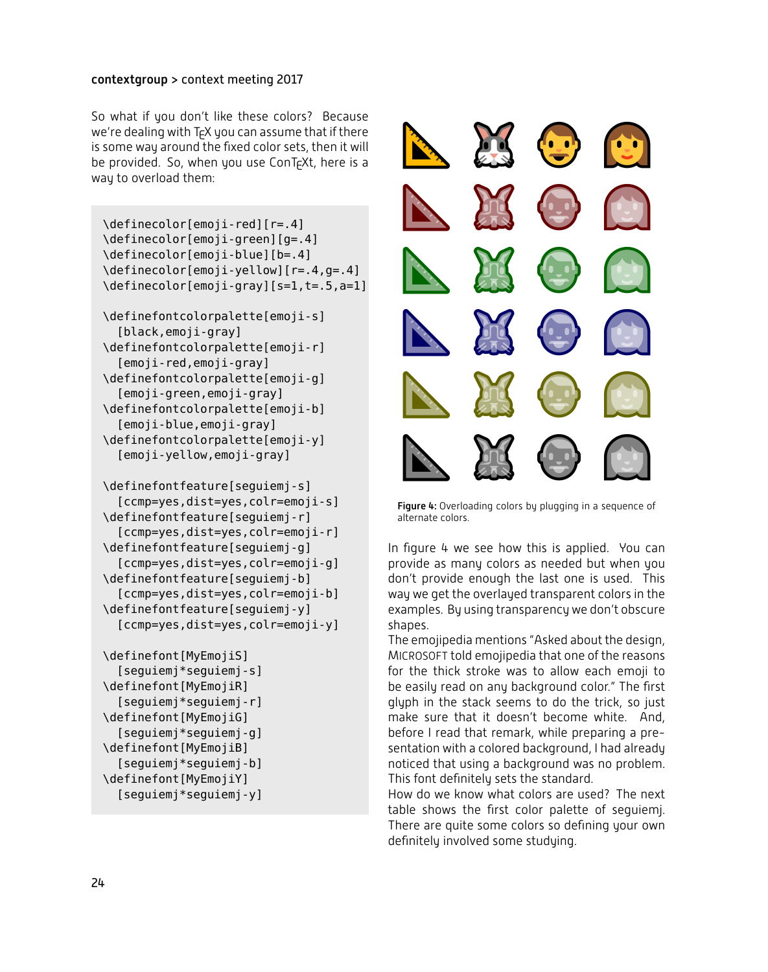So what if you don't like these colors? Because we're dealing with  $TrX$  you can assume that if there is some way around the fixed color sets, then it will be provided. So, when you use ConT<sub>F</sub>Xt, here is a way to overload them:

```
\definecolor[emoji-red][r=.4]
\definecolor[emoji-green][g=.4]
\definecolor[emoji-blue][b=.4]
\definecolor[emoji-yellow][r=.4,g=.4]
\definecolor[emoji-gray][s=1,t=.5,a=1]
\definefontcolorpalette[emoji-s]
  [black,emoji-gray]
\definefontcolorpalette[emoji-r]
  [emoji-red,emoji-gray]
\definefontcolorpalette[emoji-g]
  [emoji-green,emoji-gray]
\definefontcolorpalette[emoji-b]
```
[emoji-blue,emoji-gray] \definefontcolorpalette[emoji-y] [emoji-yellow,emoji-gray]

```
\definefontfeature[seguiemj-s]
  [ccmp=yes,dist=yes,colr=emoji-s]
\definefontfeature[seguiemj-r]
  [ccmp=yes,dist=yes,colr=emoji-r]
\definefontfeature[seguiemj-g]
  [ccmp=yes,dist=yes,colr=emoji-g]
\definefontfeature[seguiemj-b]
  [ccmp=yes,dist=yes,colr=emoji-b]
\definefontfeature[seguiemj-y]
  [ccmp=yes,dist=yes,colr=emoji-y]
```

```
\definefont[MyEmojiS]
  [seguiemj*seguiemj-s]
\definefont[MyEmojiR]
  [seguiemj*seguiemj-r]
\definefont[MyEmojiG]
  [seguiemj*seguiemj-g]
\definefont[MyEmojiB]
  [seguiemj*seguiemj-b]
\definefont[MyEmojiY]
  [seguiemj*seguiemj-y]
```


Figure 4: Overloading colors by plugging in a sequence of alternate colors.

In figure 4 we see how this is applied. You can provide as many colors as needed but when you don't provide enough the last one is used. This way we get the overlayed transparent colors in the examples. By using transparency we don't obscure shapes.

The emojipedia mentions "Asked about the design, MICROSOFT told emojipedia that one of the reasons for the thick stroke was to allow each emoji to be easily read on any background color." The first glyph in the stack seems to do the trick, so just make sure that it doesn't become white. And, before I read that remark, while preparing a presentation with a colored background, I had already noticed that using a background was no problem. This font definitely sets the standard.

How do we know what colors are used? The next table shows the first color palette of seguiemj. There are quite some colors so defining your own definitely involved some studying.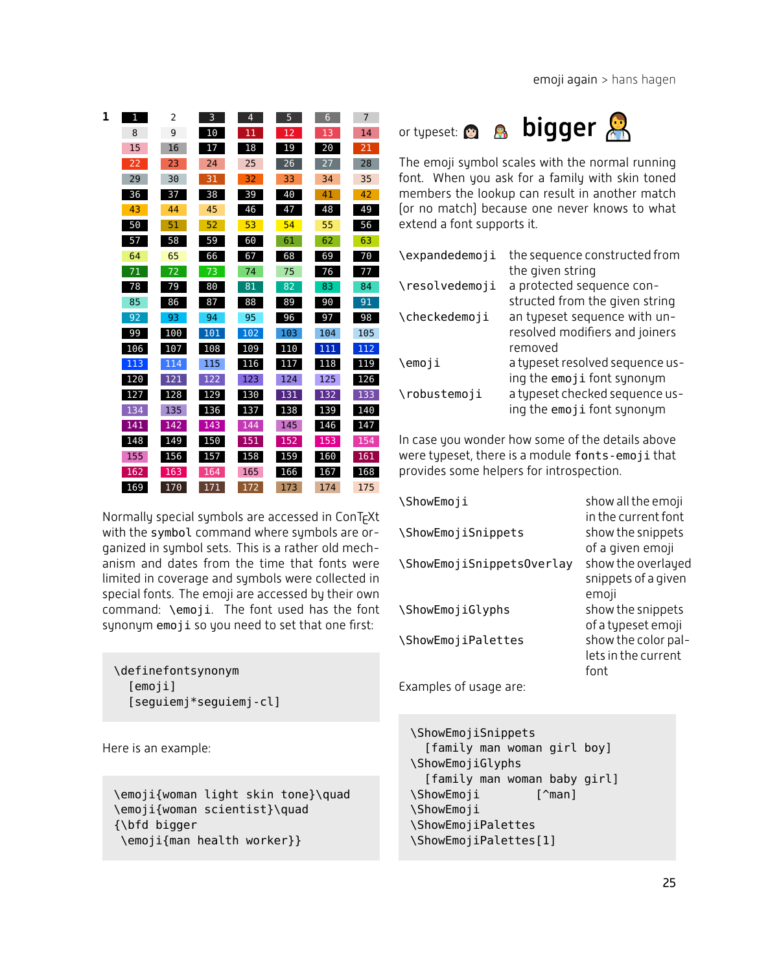| 1 | 1   | 2   | 3   | $\overline{4}$ | 5   | 6   | 7   |
|---|-----|-----|-----|----------------|-----|-----|-----|
|   | 8   | 9   | 10  | 11             | 12  | 13  | 14  |
|   | 15  | 16  | 17  | 18             | 19  | 20  | 21  |
|   | 22  | 23  | 24  | 25             | 26  | 27  | 28  |
|   | 29  | 30  | 31  | 32             | 33  | 34  | 35  |
|   | 36  | 37  | 38  | 39             | 40  | 41  | 42  |
|   | 43  | 44  | 45  | 46             | 47  | 48  | 49  |
|   | 50  | 51  | 52  | 53             | 54  | 55  | 56  |
|   | 57  | 58  | 59  | 60             | 61  | 62  | 63  |
|   | 64  | 65  | 66  | 67             | 68  | 69  | 70  |
|   | 71  | 72  | 73  | 74             | 75  | 76  | 77  |
|   | 78  | 79  | 80  | 81             | 82  | 83  | 84  |
|   | 85  | 86  | 87  | 88             | 89  | 90  | 91  |
|   | 92  | 93  | 94  | 95             | 96  | 97  | 98  |
|   | 99  | 100 | 101 | 102            | 103 | 104 | 105 |
|   | 106 | 107 | 108 | 109            | 110 | 111 | 112 |
|   | 113 | 114 | 115 | 116            | 117 | 118 | 119 |
|   | 120 | 121 | 122 | 123            | 124 | 125 | 126 |
|   | 127 | 128 | 129 | 130            | 131 | 132 | 133 |
|   | 134 | 135 | 136 | 137            | 138 | 139 | 140 |
|   | 141 | 142 | 143 | 144            | 145 | 146 | 147 |
|   | 148 | 149 | 150 | 151            | 152 | 153 | 154 |
|   | 155 | 156 | 157 | 158            | 159 | 160 | 161 |
|   | 162 | 163 | 164 | 165            | 166 | 167 | 168 |
|   | 169 | 170 | 171 | 172            | 173 | 174 | 175 |

Normally special symbols are accessed in ConT<sub>F</sub>Xt with the symbol command where symbols are organized in symbol sets. This is a rather old mechanism and dates from the time that fonts were limited in coverage and symbols were collected in special fonts. The emoji are accessed by their own command: \emoji. The font used has the font synonym emoji so you need to set that one first:

\definefontsynonym [emoji] [seguiemj\*seguiemj-cl]

Here is an example:

\emoji{woman light skin tone}\quad \emoji{woman scientist}\quad {\bfd bigger \emoji{man health worker}}



The emoji symbol scales with the normal running font. When you ask for a family with skin toned members the lookup can result in another match (or no match) because one never knows to what extend a font supports it.

| \expandedemoji | the sequence constructed from   |
|----------------|---------------------------------|
|                | the given string                |
| \resolvedemoji | a protected sequence con-       |
|                | structed from the given string  |
| \checkedemoji  | an typeset sequence with un-    |
|                | resolved modifiers and joiners  |
|                | removed                         |
| \emoji         | a typeset resolved sequence us- |
|                | ing the emoji font synonym      |
| \robustemoji   | a typeset checked sequence us-  |
|                | ing the emoji font synonym      |

In case you wonder how some of the details above were typeset, there is a module fonts-emoji that provides some helpers for introspection.

| <b>\ShowEmoii</b>         | show all the emoji  |
|---------------------------|---------------------|
|                           | in the current font |
| \ShowEmojiSnippets        | show the snippets   |
|                           | of a given emoji    |
| \ShowEmojiSnippetsOverlay | show the overlayed  |
|                           | snippets of a given |
|                           | emoji               |
| \ShowEmojiGlyphs          | show the snippets   |
|                           | of a typeset emoji  |
| \ShowEmojiPalettes        | show the color pal- |
|                           | lets in the current |
|                           | font                |
| Examples of usage are:    |                     |

```
\ShowEmojiSnippets
  [family man woman girl boy]
\ShowEmojiGlyphs
  [family man woman baby girl]
\ShowEmoji [^man]
\ShowEmoji
\ShowEmojiPalettes
\ShowEmojiPalettes[1]
```